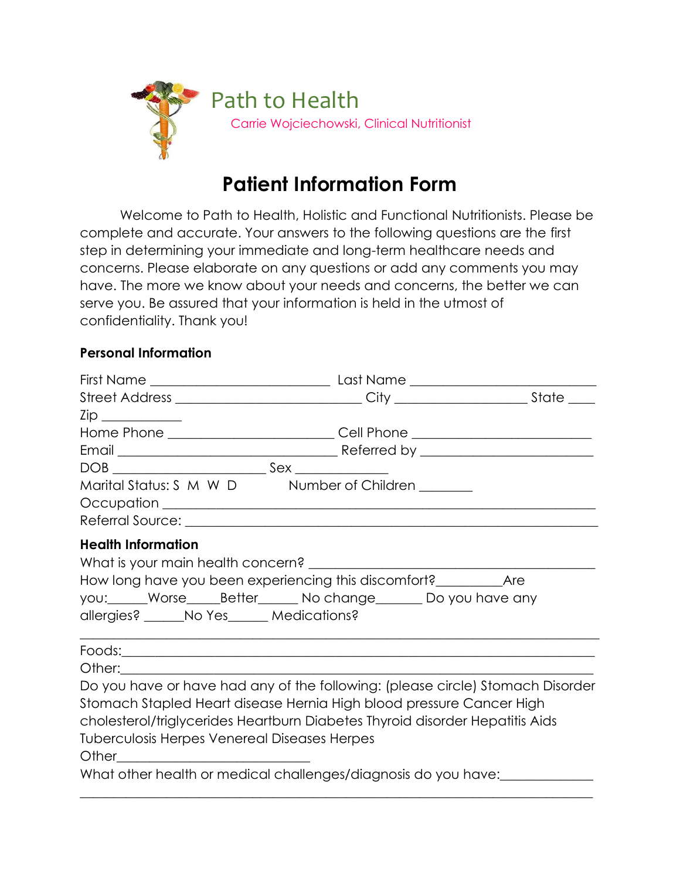

## **Patient Information Form**

Welcome to Path to Health, Holistic and Functional Nutritionists. Please be complete and accurate. Your answers to the following questions are the first step in determining your immediate and long-term healthcare needs and concerns. Please elaborate on any questions or add any comments you may have. The more we know about your needs and concerns, the better we can serve you. Be assured that your information is held in the utmost of confidentiality. Thank you!

## **Personal Information**

| Zip _____________                                                       |                                                                                                                                                                                                                                        |  |
|-------------------------------------------------------------------------|----------------------------------------------------------------------------------------------------------------------------------------------------------------------------------------------------------------------------------------|--|
|                                                                         | Home Phone _______________________________Cell Phone ___________________________                                                                                                                                                       |  |
|                                                                         |                                                                                                                                                                                                                                        |  |
|                                                                         | $\texttt{DOB} \_\_\_\_\_\_ \texttt{Sex} \_\_\_\_\_\_\_ \}$                                                                                                                                                                             |  |
|                                                                         | Marital Status: S M W D Number of Children ______                                                                                                                                                                                      |  |
| <b>Health Information</b><br>allergies? ______No Yes______ Medications? | How long have you been experiencing this discomfort?_____________________________<br>you: Worse Better No change Do you have any                                                                                                       |  |
|                                                                         |                                                                                                                                                                                                                                        |  |
|                                                                         |                                                                                                                                                                                                                                        |  |
| <b>Tuberculosis Herpes Venereal Diseases Herpes</b>                     | Do you have or have had any of the following: (please circle) Stomach Disorder<br>Stomach Stapled Heart disease Hernia High blood pressure Cancer High<br>cholesterol/triglycerides Heartburn Diabetes Thyroid disorder Hepatitis Aids |  |
| What other health or medical challenges/diagnosis do you have:          |                                                                                                                                                                                                                                        |  |